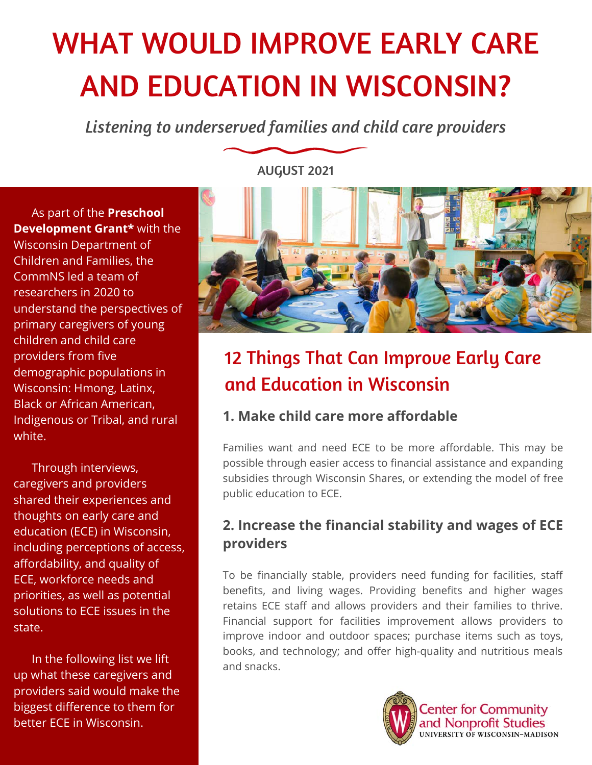# WHAT WOULD IMPROVE EARLY CARE AND EDUCATION IN WISCONSIN?

*Listening to underserved families and child care providers*

 As part of the **Preschool Development Grant\*** with the Wisconsin Department of Children and Families, the CommNS led a team of researchers in 2020 to understand the perspectives of primary caregivers of young children and child care providers from five demographic populations in Wisconsin: Hmong, Latinx, Black or African American, Indigenous or Tribal, and rural white.

 Through interviews, caregivers and providers shared their experiences and thoughts on early care and education (ECE) in Wisconsin, including perceptions of access, affordability, and quality of ECE, workforce needs and priorities, as well as potential solutions to ECE issues in the state.

 In the following list we lift up what these caregivers and providers said would make the biggest difference to them for better ECE in Wisconsin.

AUGUST 2021



## 12 Things That Can Improve Early Care and Education in Wisconsin

#### **1. Make child care more affordable**

Families want and need ECE to be more affordable. This may be possible through easier access to financial assistance and expanding subsidies through Wisconsin Shares, or extending the model of free public education to ECE.

#### **2. Increase the financial stability and wages of ECE providers**

To be financially stable, providers need funding for facilities, staff benefits, and living wages. Providing benefits and higher wages retains ECE staff and allows providers and their families to thrive. Financial support for facilities improvement allows providers to improve indoor and outdoor spaces; purchase items such as toys, books, and technology; and offer high-quality and nutritious meals and snacks.



**Center for Community** and Nonprofit Studies UNIVERSITY OF WISCONSIN-MADISON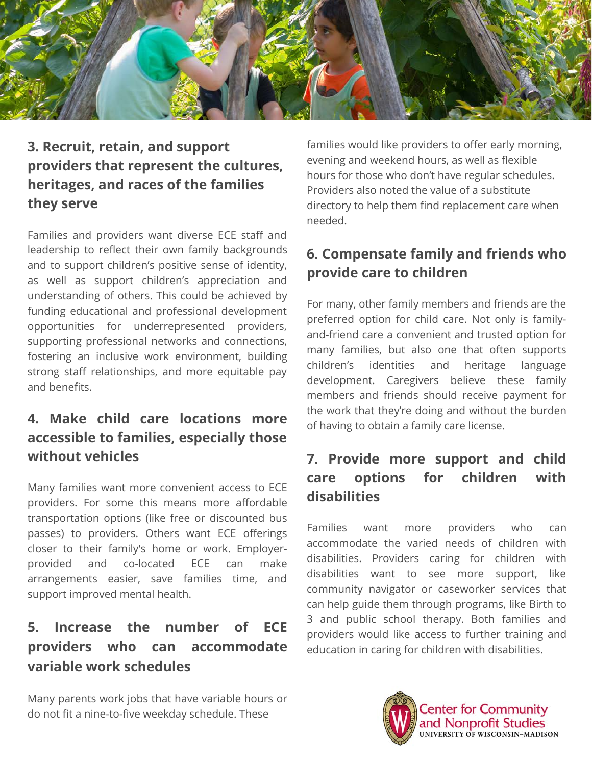

#### **3. Recruit, retain, and support providers that represent the cultures, heritages, and races of the families they serve**

Families and providers want diverse ECE staff and leadership to reflect their own family backgrounds and to support children's positive sense of identity, as well as support children's appreciation and understanding of others. This could be achieved by funding educational and professional development opportunities for underrepresented providers, supporting professional networks and connections, fostering an inclusive work environment, building strong staff relationships, and more equitable pay and benefits.

#### **4. Make child care locations more accessible to families, especially those without vehicles**

Many families want more convenient access to ECE providers. For some this means more affordable transportation options (like free or discounted bus passes) to providers. Others want ECE offerings closer to their family's home or work. Employerprovided and co-located ECE can make arrangements easier, save families time, and support improved mental health.

#### **5. Increase the number of ECE providers who can accommodate variable work schedules**

Many parents work jobs that have variable hours or do not fit a nine-to-five weekday schedule. These

families would like providers to offer early morning, evening and weekend hours, as well as flexible hours for those who don't have regular schedules. Providers also noted the value of a substitute directory to help them find replacement care when needed.

#### **6. Compensate family and friends who provide care to children**

For many, other family members and friends are the preferred option for child care. Not only is familyand-friend care a convenient and trusted option for many families, but also one that often supports children's identities and heritage language development. Caregivers believe these family members and friends should receive payment for the work that they're doing and without the burden of having to obtain a family care license.

#### **7. Provide more support and child care options for children with disabilities**

Families want more providers who can accommodate the varied needs of children with disabilities. Providers caring for children with disabilities want to see more support, like community navigator or caseworker services that can help guide them through programs, like Birth to 3 and public school therapy. Both families and providers would like access to further training and education in caring for children with disabilities.

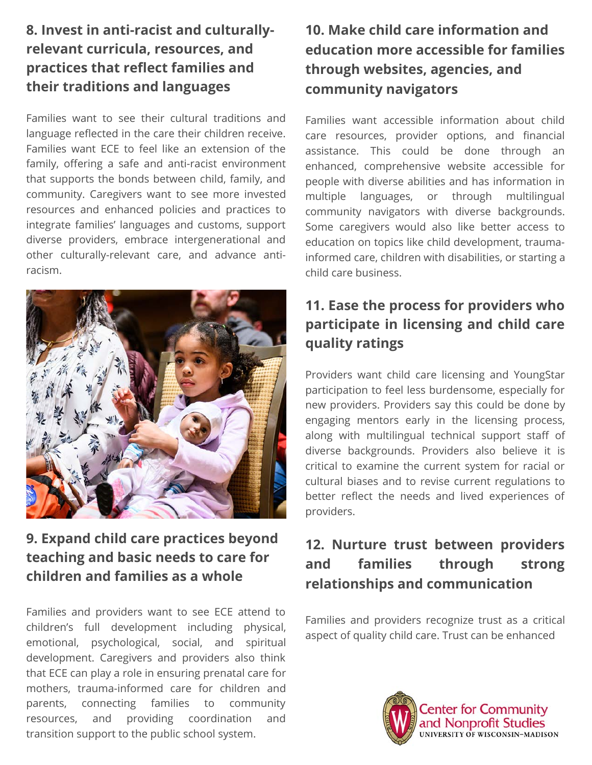#### **8. Invest in anti-racist and culturallyrelevant curricula, resources, and practices that reflect families and their traditions and languages**

Families want to see their cultural traditions and language reflected in the care their children receive. Families want ECE to feel like an extension of the family, offering a safe and anti-racist environment that supports the bonds between child, family, and community. Caregivers want to see more invested resources and enhanced policies and practices to integrate families' languages and customs, support diverse providers, embrace intergenerational and other culturally-relevant care, and advance antiracism.



#### **9. Expand child care practices beyond teaching and basic needs to care for children and families as a whole**

Families and providers want to see ECE attend to children's full development including physical, emotional, psychological, social, and spiritual development. Caregivers and providers also think that ECE can play a role in ensuring prenatal care for mothers, trauma-informed care for children and parents, connecting families to community resources, and providing coordination and transition support to the public school system.

#### **10. Make child care information and education more accessible for families through websites, agencies, and community navigators**

Families want accessible information about child care resources, provider options, and financial assistance. This could be done through an enhanced, comprehensive website accessible for people with diverse abilities and has information in multiple languages, or through multilingual community navigators with diverse backgrounds. Some caregivers would also like better access to education on topics like child development, traumainformed care, children with disabilities, or starting a child care business.

#### **11. Ease the process for providers who participate in licensing and child care quality ratings**

Providers want child care licensing and YoungStar participation to feel less burdensome, especially for new providers. Providers say this could be done by engaging mentors early in the licensing process, along with multilingual technical support staff of diverse backgrounds. Providers also believe it is critical to examine the current system for racial or cultural biases and to revise current regulations to better reflect the needs and lived experiences of providers.

#### **12. Nurture trust between providers and families through strong relationships and communication**

Families and providers recognize trust as a critical aspect of quality child care. Trust can be enhanced



**Center for Community** and Nonprofit Studies UNIVERSITY OF WISCONSIN-MADISON